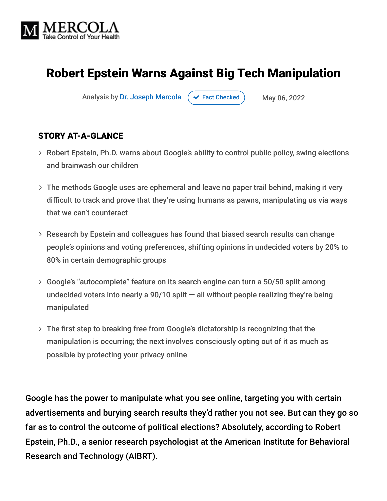

# Robert Epstein Warns Against Big Tech Manipulation

Analysis by [Dr. Joseph Mercola](https://www.mercola.com/forms/background.htm)  $\left( \right. \times$  [Fact Checked](javascript:void(0))  $\left. \right)$  May 06, 2022

#### STORY AT-A-GLANCE

- Robert Epstein, Ph.D. warns about Google's ability to control public policy, swing elections and brainwash our children
- The methods Google uses are ephemeral and leave no paper trail behind, making it very difficult to track and prove that they're using humans as pawns, manipulating us via ways that we can't counteract
- Research by Epstein and colleagues has found that biased search results can change people's opinions and voting preferences, shifting opinions in undecided voters by 20% to 80% in certain demographic groups
- Google's "autocomplete" feature on its search engine can turn a 50/50 split among undecided voters into nearly a 90/10 split  $-$  all without people realizing they're being manipulated
- The first step to breaking free from Google's dictatorship is recognizing that the manipulation is occurring; the next involves consciously opting out of it as much as possible by protecting your privacy online

Google has the power to manipulate what you see online, targeting you with certain advertisements and burying search results they'd rather you not see. But can they go so far as to control the outcome of political elections? Absolutely, according to Robert Epstein, Ph.D., a senior research psychologist at the American Institute for Behavioral Research and Technology (AIBRT).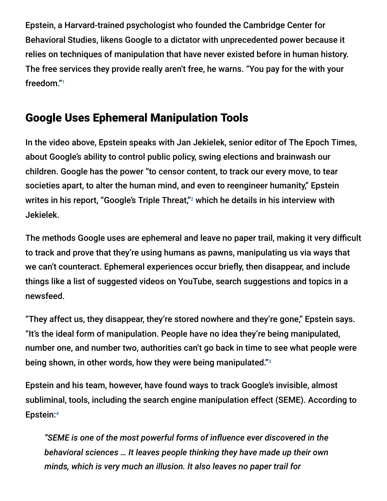Epstein, a Harvard-trained psychologist who founded the Cambridge Center for Behavioral Studies, likens Google to a dictator with unprecedented power because it relies on techniques of manipulation that have never existed before in human history. The free services they provide really aren't free, he warns. "You pay for the with your freedom." 1

## Google Uses Ephemeral Manipulation Tools

In the video above, Epstein speaks with Jan Jekielek, senior editor of The Epoch Times, about Google's ability to control public policy, swing elections and brainwash our children. Google has the power "to censor content, to track our every move, to tear societies apart, to alter the human mind, and even to reengineer humanity," Epstein writes in his report, "Google's Triple Threat," $^2$  which he details in his interview with Jekielek.

The methods Google uses are ephemeral and leave no paper trail, making it very difficult to track and prove that they're using humans as pawns, manipulating us via ways that we can't counteract. Ephemeral experiences occur briefly, then disappear, and include things like a list of suggested videos on YouTube, search suggestions and topics in a newsfeed.

"They affect us, they disappear, they're stored nowhere and they're gone," Epstein says. "It's the ideal form of manipulation. People have no idea they're being manipulated, number one, and number two, authorities can't go back in time to see what people were being shown, in other words, how they were being manipulated."<sup>3</sup>

Epstein and his team, however, have found ways to track Google's invisible, almost subliminal, tools, including the search engine manipulation effect (SEME). According to Epstein: 4

*"SEME is one of the most powerful forms of influence ever discovered in the behavioral sciences … It leaves people thinking they have made up their own minds, which is very much an illusion. It also leaves no paper trail for*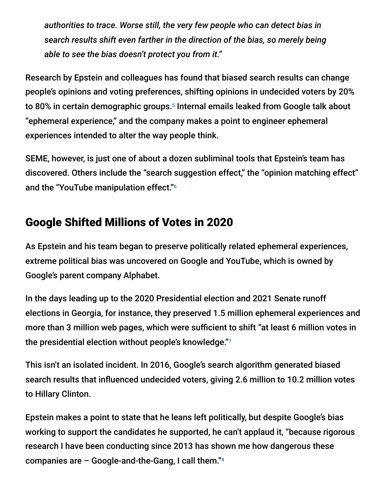*authorities to trace. Worse still, the very few people who can detect bias in search results shift even farther in the direction of the bias, so merely being able to see the bias doesn't protect you from it."*

Research by Epstein and colleagues has found that biased search results can change people's opinions and voting preferences, shifting opinions in undecided voters by 20% to 80% in certain demographic groups.<sup>5</sup> Internal emails leaked from Google talk about "ephemeral experience," and the company makes a point to engineer ephemeral experiences intended to alter the way people think.

SEME, however, is just one of about a dozen subliminal tools that Epstein's team has discovered. Others include the "search suggestion effect," the "opinion matching effect" and the "YouTube manipulation effect." 6

## Google Shifted Millions of Votes in 2020

As Epstein and his team began to preserve politically related ephemeral experiences, extreme political bias was uncovered on Google and YouTube, which is owned by Google's parent company Alphabet.

In the days leading up to the 2020 Presidential election and 2021 Senate runoff elections in Georgia, for instance, they preserved 1.5 million ephemeral experiences and more than 3 million web pages, which were sufficient to shift "at least 6 million votes in the presidential election without people's knowledge." 7

This isn't an isolated incident. In 2016, Google's search algorithm generated biased search results that influenced undecided voters, giving 2.6 million to 10.2 million votes to Hillary Clinton.

Epstein makes a point to state that he leans left politically, but despite Google's bias working to support the candidates he supported, he can't applaud it, "because rigorous research I have been conducting since 2013 has shown me how dangerous these companies are – Google-and-the-Gang, I call them." 8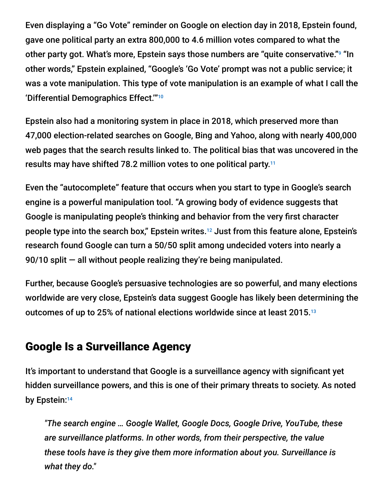Even displaying a "Go Vote" reminder on Google on election day in 2018, Epstein found, gave one political party an extra 800,000 to 4.6 million votes compared to what the other party got. What's more, Epstein says those numbers are "quite conservative."<sup>9</sup> "In other words," Epstein explained, "Google's 'Go Vote' prompt was not a public service; it was a vote manipulation. This type of vote manipulation is an example of what I call the 'Differential Demographics Effect.'" 10

Epstein also had a monitoring system in place in 2018, which preserved more than 47,000 election-related searches on Google, Bing and Yahoo, along with nearly 400,000 web pages that the search results linked to. The political bias that was uncovered in the results may have shifted 78.2 million votes to one political party. 11

Even the "autocomplete" feature that occurs when you start to type in Google's search engine is a powerful manipulation tool. "A growing body of evidence suggests that Google is manipulating people's thinking and behavior from the very first character people type into the search box," Epstein writes.<sup>12</sup> Just from this feature alone, Epstein's research found Google can turn a 50/50 split among undecided voters into nearly a 90/10 split — all without people realizing they're being manipulated.

Further, because Google's persuasive technologies are so powerful, and many elections worldwide are very close, Epstein's data suggest Google has likely been determining the outcomes of up to 25% of national elections worldwide since at least 2015. 13

### Google Is a Surveillance Agency

It's important to understand that Google is a surveillance agency with significant yet hidden surveillance powers, and this is one of their primary threats to society. As noted by Epstein: 14

*"The search engine … Google Wallet, Google Docs, Google Drive, YouTube, these are surveillance platforms. In other words, from their perspective, the value these tools have is they give them more information about you. Surveillance is what they do."*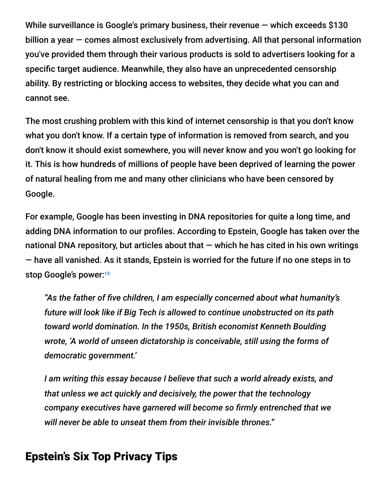While surveillance is Google's primary business, their revenue  $-$  which exceeds \$130 billion a year — comes almost exclusively from advertising. All that personal information you've provided them through their various products is sold to advertisers looking for a specific target audience. Meanwhile, they also have an unprecedented censorship ability. By restricting or blocking access to websites, they decide what you can and cannot see.

The most crushing problem with this kind of internet censorship is that you don't know what you don't know. If a certain type of information is removed from search, and you don't know it should exist somewhere, you will never know and you won't go looking for it. This is how hundreds of millions of people have been deprived of learning the power of natural healing from me and many other clinicians who have been censored by Google.

For example, Google has been investing in DNA repositories for quite a long time, and adding DNA information to our profiles. According to Epstein, Google has taken over the national DNA repository, but articles about that  $-$  which he has cited in his own writings — have all vanished. As it stands, Epstein is worried for the future if no one steps in to stop Google's power: 15

*"As the father of five children, I am especially concerned about what humanity's future will look like if Big Tech is allowed to continue unobstructed on its path toward world domination. In the 1950s, British economist Kenneth Boulding wrote, 'A world of unseen dictatorship is conceivable, still using the forms of democratic government.'*

*I am writing this essay because I believe that such a world already exists, and that unless we act quickly and decisively, the power that the technology company executives have garnered will become so firmly entrenched that we will never be able to unseat them from their invisible thrones."*

#### Epstein's Six Top Privacy Tips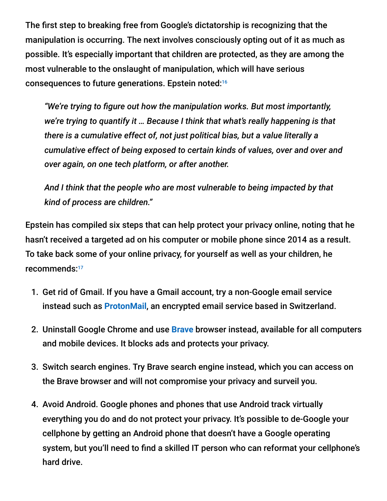The first step to breaking free from Google's dictatorship is recognizing that the manipulation is occurring. The next involves consciously opting out of it as much as possible. It's especially important that children are protected, as they are among the most vulnerable to the onslaught of manipulation, which will have serious consequences to future generations. Epstein noted: 16

*"We're trying to figure out how the manipulation works. But most importantly, we're trying to quantify it … Because I think that what's really happening is that there is a cumulative effect of, not just political bias, but a value literally a cumulative effect of being exposed to certain kinds of values, over and over and over again, on one tech platform, or after another.*

*And I think that the people who are most vulnerable to being impacted by that kind of process are children."*

Epstein has compiled six steps that can help protect your privacy online, noting that he hasn't received a targeted ad on his computer or mobile phone since 2014 as a result. To take back some of your online privacy, for yourself as well as your children, he recommends: 17

- 1. Get rid of Gmail. If you have a Gmail account, try a non-Google email service instead such as **[ProtonMail](https://protonmail.com/)**, an encrypted email service based in Switzerland.
- 2. Uninstall Google Chrome and use **[Brave](https://brave.com/download/)** browser instead, available for all computers and mobile devices. It blocks ads and protects your privacy.
- 3. Switch search engines. Try Brave search engine instead, which you can access on the Brave browser and will not compromise your privacy and surveil you.
- 4. Avoid Android. Google phones and phones that use Android track virtually everything you do and do not protect your privacy. It's possible to de-Google your cellphone by getting an Android phone that doesn't have a Google operating system, but you'll need to find a skilled IT person who can reformat your cellphone's hard drive.